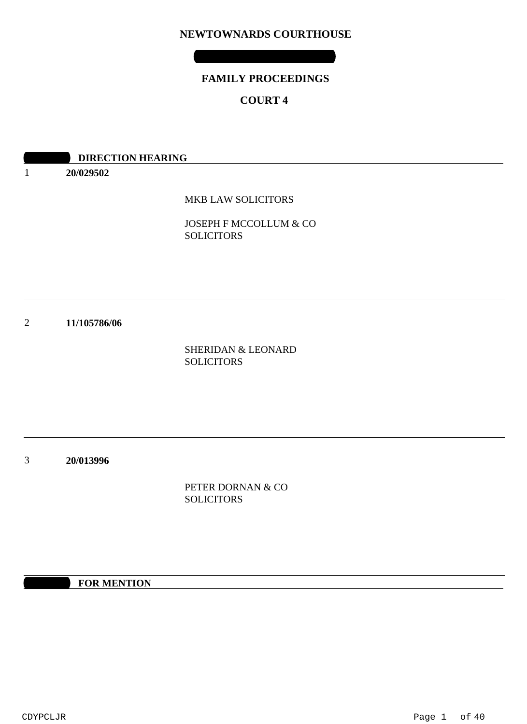# **NEWTOWNARDS COURTHOUSE**

# **FAMILY PROCEEDINGS**

# **COURT 4**

|                | <b>DIRECTION HEARING</b> |                                                    |
|----------------|--------------------------|----------------------------------------------------|
|                | 20/029502                |                                                    |
|                |                          | MKB LAW SOLICITORS                                 |
|                |                          | JOSEPH F MCCOLLUM & CO<br><b>SOLICITORS</b>        |
|                |                          |                                                    |
| $\overline{2}$ | 11/105786/06             |                                                    |
|                |                          | <b>SHERIDAN &amp; LEONARD</b><br><b>SOLICITORS</b> |
|                |                          |                                                    |
|                |                          |                                                    |
| 3              | 20/013996                |                                                    |
|                |                          | PETER DORNAN & CO                                  |
|                |                          | <b>SOLICITORS</b>                                  |

**10:30 FOR MENTION**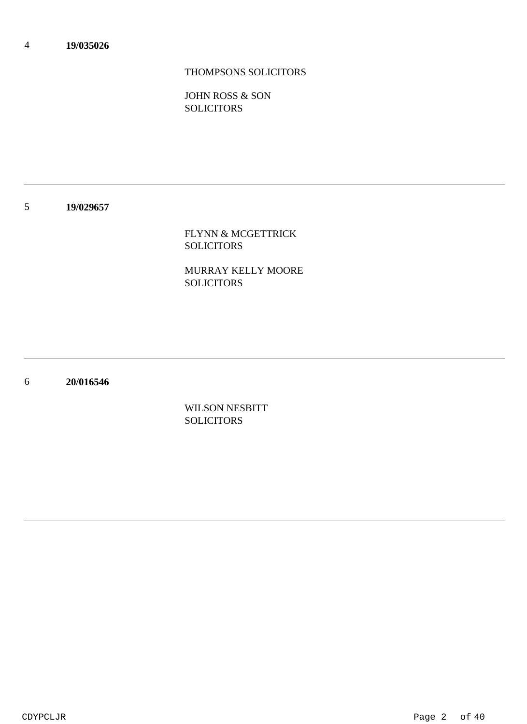# THOMPSONS SOLICITORS

JOHN ROSS & SON **SOLICITORS** 

### 5 **19/029657**

FLYNN & MCGETTRICK SOLICITORS

MURRAY KELLY MOORE SOLICITORS

6 **20/016546**

> WILSON NESBITT **SOLICITORS**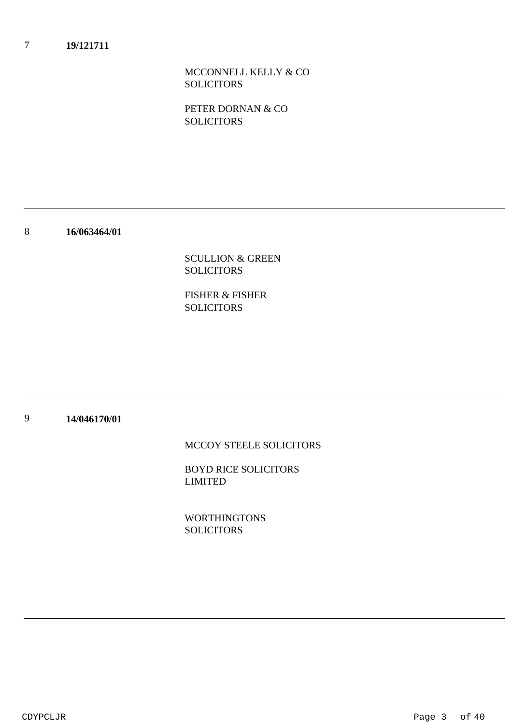### 7 **19/121711**

MCCONNELL KELLY & CO SOLICITORS

PETER DORNAN & CO **SOLICITORS** 

8 **16/063464/01**

> SCULLION & GREEN SOLICITORS

FISHER & FISHER **SOLICITORS** 

### 9 **14/046170/01**

MCCOY STEELE SOLICITORS

BOYD RICE SOLICITORS LIMITED

WORTHINGTONS **SOLICITORS**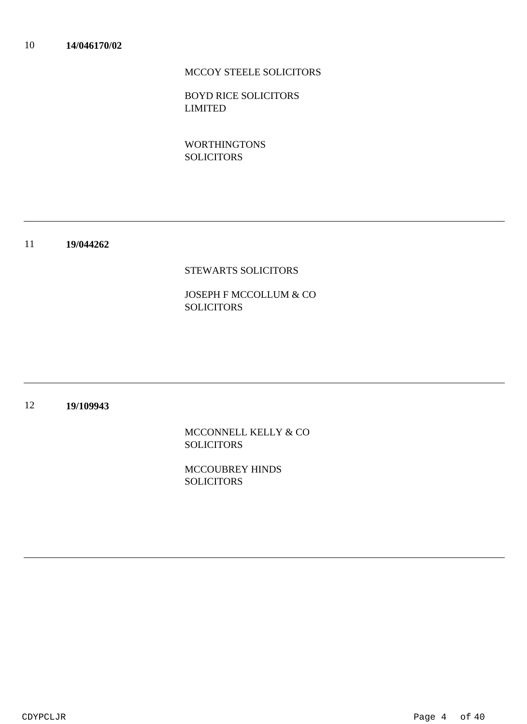# MCCOY STEELE SOLICITORS

BOYD RICE SOLICITORS LIMITED

WORTHINGTONS **SOLICITORS** 

### 11 **19/044262**

## STEWARTS SOLICITORS

# JOSEPH F MCCOLLUM & CO SOLICITORS

### 12 **19/109943**

MCCONNELL KELLY & CO **SOLICITORS** 

MCCOUBREY HINDS **SOLICITORS**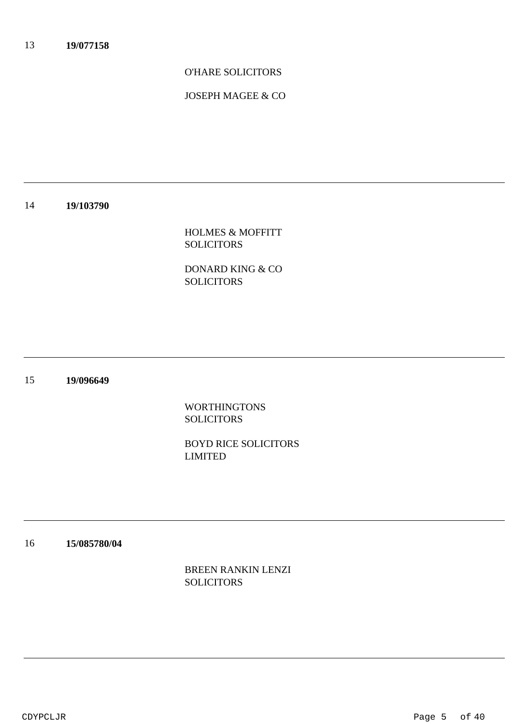O'HARE SOLICITORS

JOSEPH MAGEE & CO

### 14 **19/103790**

HOLMES & MOFFITT SOLICITORS

DONARD KING & CO SOLICITORS

### 15 **19/096649**

WORTHINGTONS **SOLICITORS** 

BOYD RICE SOLICITORS LIMITED

### 16 **15/085780/04**

BREEN RANKIN LENZI SOLICITORS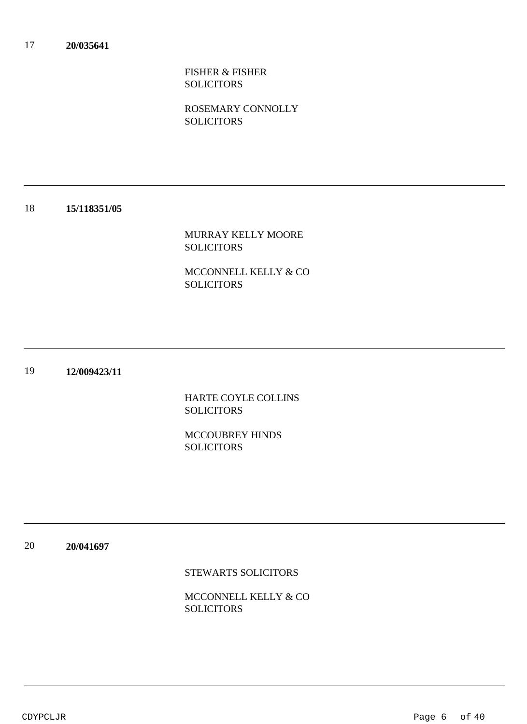FISHER & FISHER SOLICITORS

ROSEMARY CONNOLLY **SOLICITORS** 

### 18 **15/118351/05**

MURRAY KELLY MOORE SOLICITORS

MCCONNELL KELLY & CO SOLICITORS

### 19 **12/009423/11**

HARTE COYLE COLLINS **SOLICITORS** 

MCCOUBREY HINDS **SOLICITORS** 

20 **20/041697**

STEWARTS SOLICITORS

MCCONNELL KELLY & CO **SOLICITORS**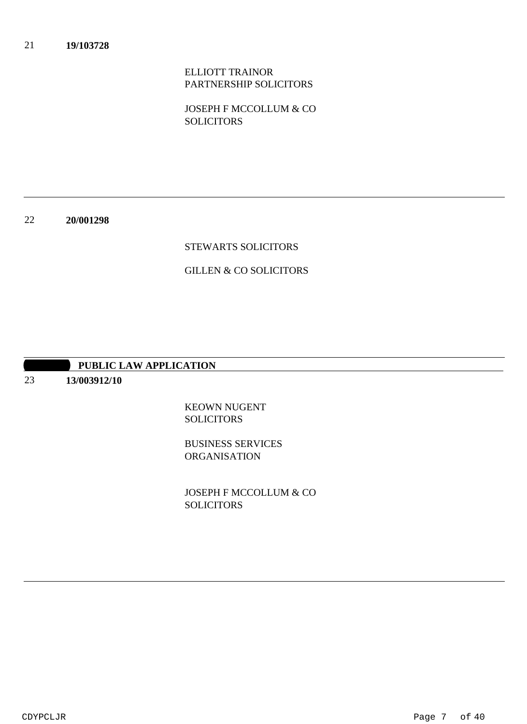ELLIOTT TRAINOR PARTNERSHIP SOLICITORS

JOSEPH F MCCOLLUM & CO **SOLICITORS** 

22 **20/001298**

## STEWARTS SOLICITORS

## GILLEN & CO SOLICITORS

## **PUBLIC LAW APPLICATION**

### 23 **13/003912/10**

KEOWN NUGENT **SOLICITORS** 

BUSINESS SERVICES ORGANISATION

JOSEPH F MCCOLLUM & CO **SOLICITORS**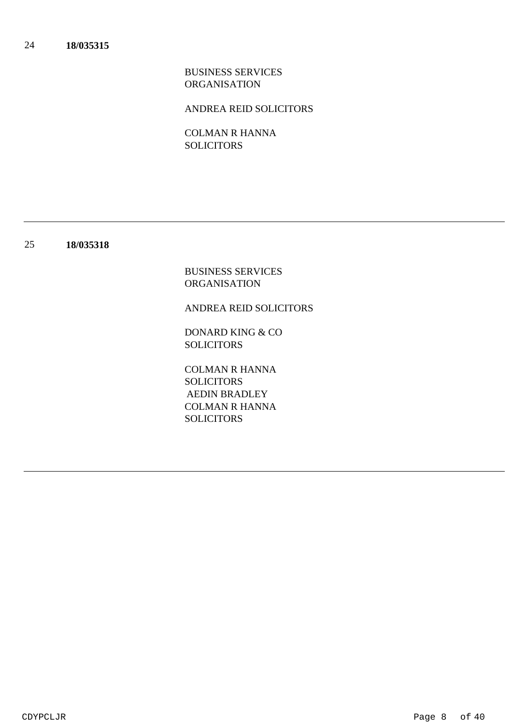BUSINESS SERVICES ORGANISATION

ANDREA REID SOLICITORS

COLMAN R HANNA SOLICITORS

### 25 **18/035318**

BUSINESS SERVICES ORGANISATION

ANDREA REID SOLICITORS

DONARD KING & CO SOLICITORS

COLMAN R HANNA SOLICITORS COLMAN R HANNA **SOLICITORS** AEDIN BRADLEY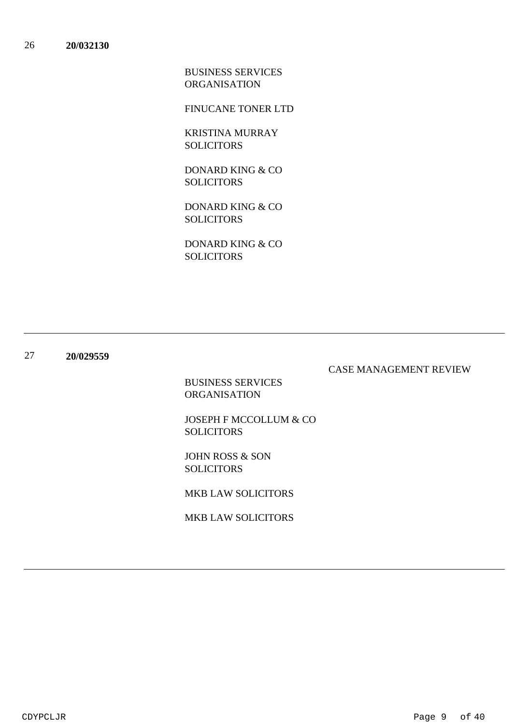BUSINESS SERVICES ORGANISATION

FINUCANE TONER LTD

KRISTINA MURRAY SOLICITORS

DONARD KING & CO **SOLICITORS** 

DONARD KING & CO SOLICITORS

DONARD KING & CO **SOLICITORS** 

### 27 **20/029559**

## CASE MANAGEMENT REVIEW

BUSINESS SERVICES ORGANISATION

JOSEPH F MCCOLLUM & CO SOLICITORS

JOHN ROSS & SON SOLICITORS

MKB LAW SOLICITORS

MKB LAW SOLICITORS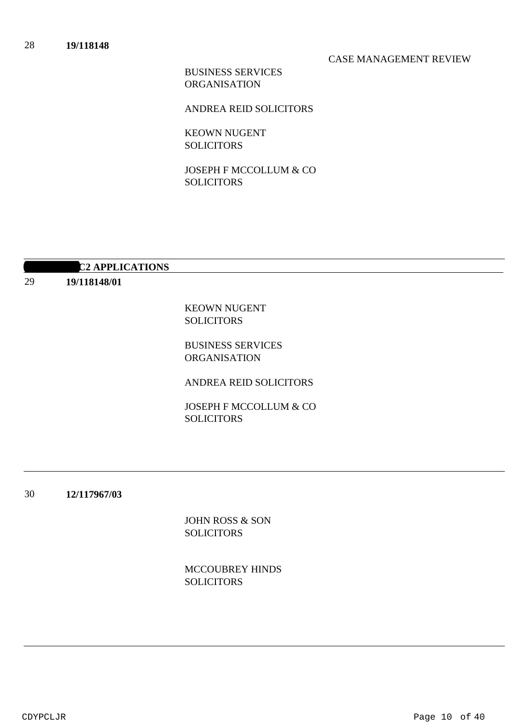## CASE MANAGEMENT REVIEW

BUSINESS SERVICES ORGANISATION

ANDREA REID SOLICITORS

KEOWN NUGENT SOLICITORS

JOSEPH F MCCOLLUM & CO **SOLICITORS** 

## **12 APPLICATIONS**

29 **19/118148/01**

> KEOWN NUGENT SOLICITORS

BUSINESS SERVICES ORGANISATION

ANDREA REID SOLICITORS

JOSEPH F MCCOLLUM & CO SOLICITORS

30 **12/117967/03**

> JOHN ROSS & SON **SOLICITORS**

MCCOUBREY HINDS **SOLICITORS** 

CDYPCLJR Page 10 of 40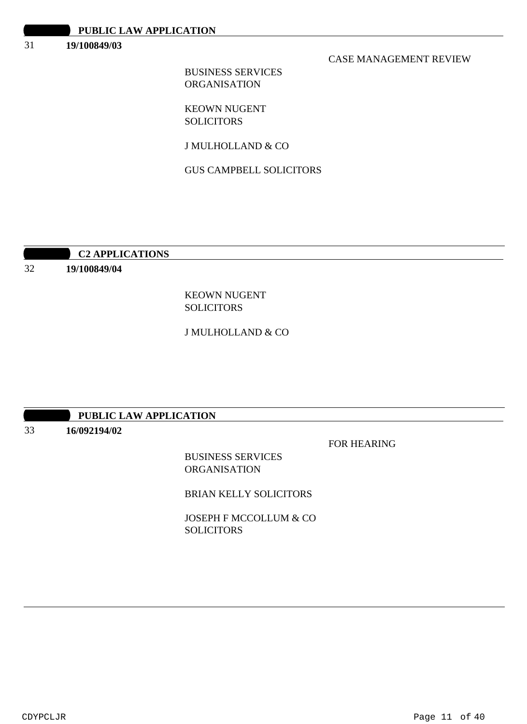#### 31 **19/100849/03**

## CASE MANAGEMENT REVIEW

BUSINESS SERVICES ORGANISATION

KEOWN NUGENT **SOLICITORS** 

J MULHOLLAND & CO

GUS CAMPBELL SOLICITORS

## **10:30 AM C2 APPLICATIONS**

32 **19/100849/04**

> KEOWN NUGENT SOLICITORS

J MULHOLLAND & CO

## **PUBLIC LAW APPLICATION**

33 **16/092194/02**

FOR HEARING

BUSINESS SERVICES **ORGANISATION** 

BRIAN KELLY SOLICITORS

JOSEPH F MCCOLLUM & CO SOLICITORS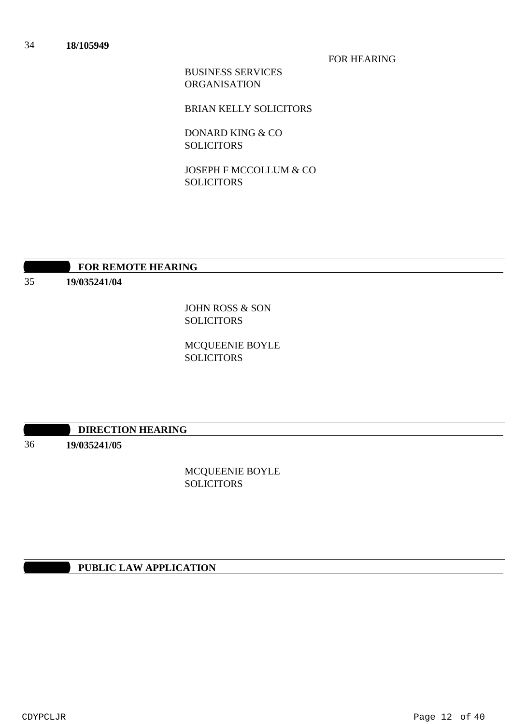FOR HEARING

BUSINESS SERVICES ORGANISATION

BRIAN KELLY SOLICITORS

DONARD KING & CO SOLICITORS

JOSEPH F MCCOLLUM & CO **SOLICITORS** 

# **10:30 FOR REMOTE HEARING**

35 **19/035241/04**

> JOHN ROSS & SON SOLICITORS

MCQUEENIE BOYLE SOLICITORS

## **10:30 DIRECTION HEARING**

36

# **19/035241/05**

MCQUEENIE BOYLE **SOLICITORS** 

## **PUBLIC LAW APPLICATION**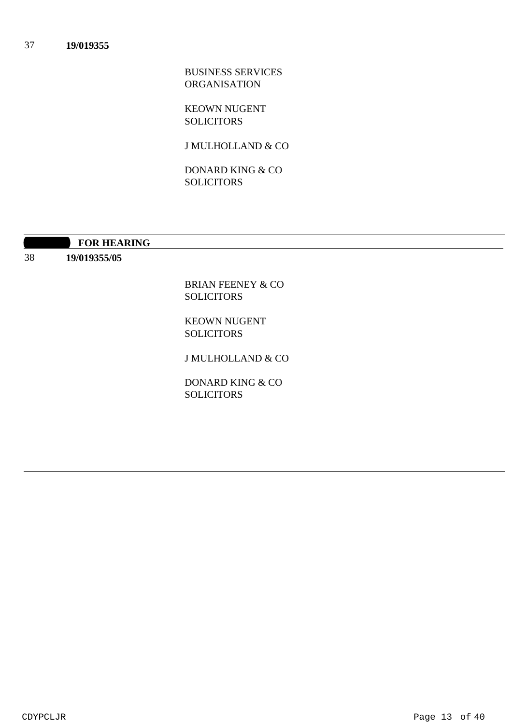BUSINESS SERVICES ORGANISATION

KEOWN NUGENT **SOLICITORS** 

J MULHOLLAND & CO

DONARD KING & CO **SOLICITORS** 

**10:30 FOR HEARING** 

38 **19/019355/05**

> BRIAN FEENEY & CO SOLICITORS

KEOWN NUGENT SOLICITORS

J MULHOLLAND & CO

DONARD KING & CO **SOLICITORS**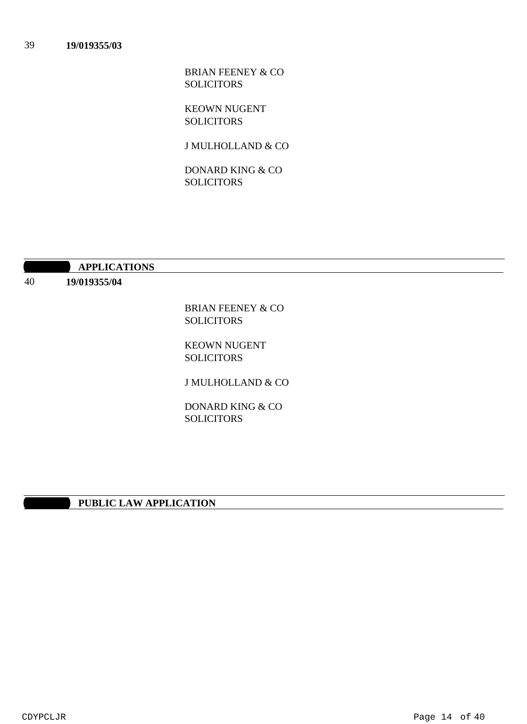BRIAN FEENEY & CO SOLICITORS

KEOWN NUGENT **SOLICITORS** 

J MULHOLLAND & CO

DONARD KING & CO **SOLICITORS** 

**10:40 APPLICATIONS** 

40 **19/019355/04**

> BRIAN FEENEY & CO SOLICITORS

KEOWN NUGENT SOLICITORS

J MULHOLLAND & CO

DONARD KING & CO **SOLICITORS** 

## **PUBLIC LAW APPLICATION**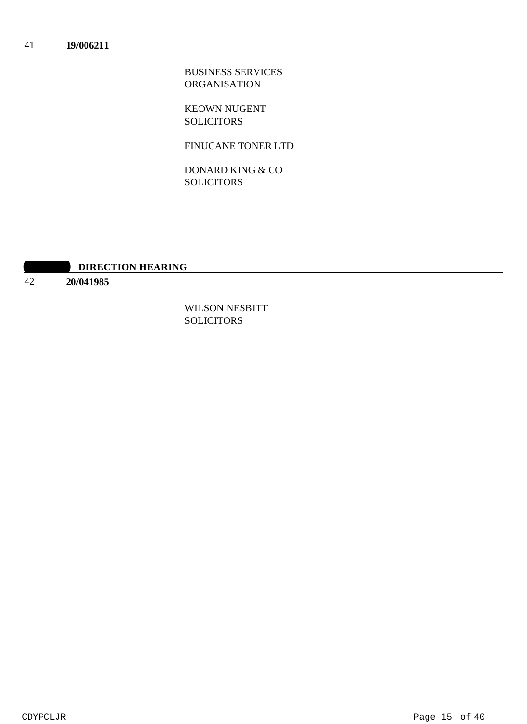BUSINESS SERVICES ORGANISATION

KEOWN NUGENT SOLICITORS

FINUCANE TONER LTD

DONARD KING & CO **SOLICITORS** 

# **10:30 DIRECTION HEARING**

42 **20/041985**

> WILSON NESBITT SOLICITORS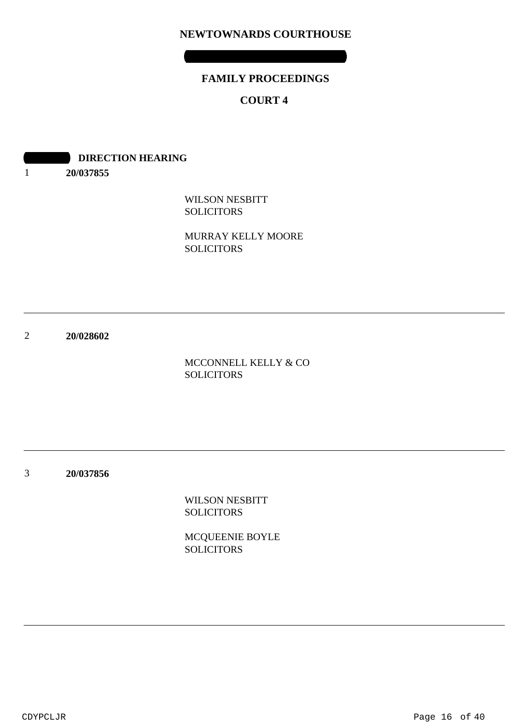# **NEWTOWNARDS COURTHOUSE**

# **FAMILY PROCEEDINGS**

**WEDNESDAY 05 AUGUST 2020**

# **COURT 4**

**DIRECTION HEARING** 

1 **20/037855**

> WILSON NESBITT **SOLICITORS**

MURRAY KELLY MOORE SOLICITORS

2 **20/028602**

> MCCONNELL KELLY & CO SOLICITORS

3 **20/037856**

> WILSON NESBITT **SOLICITORS**

MCQUEENIE BOYLE **SOLICITORS**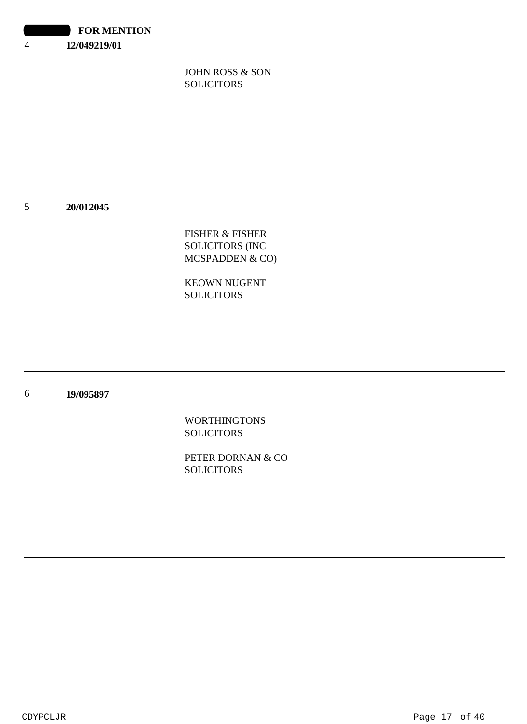**12/049219/01**

4

JOHN ROSS & SON SOLICITORS

### 5 **20/012045**

FISHER & FISHER SOLICITORS (INC MCSPADDEN & CO)

KEOWN NUGENT SOLICITORS

### 6 **19/095897**

WORTHINGTONS **SOLICITORS** 

PETER DORNAN & CO **SOLICITORS**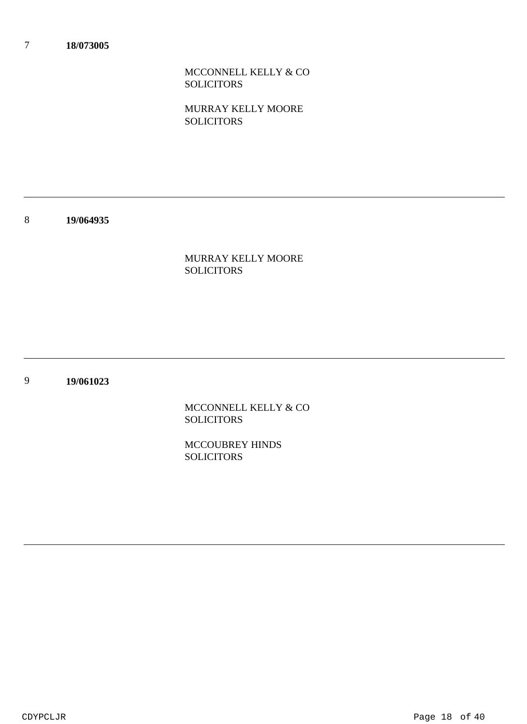MCCONNELL KELLY & CO SOLICITORS

MURRAY KELLY MOORE **SOLICITORS** 

8 **19/064935**

> MURRAY KELLY MOORE SOLICITORS

9 **19/061023**

> MCCONNELL KELLY & CO **SOLICITORS**

MCCOUBREY HINDS **SOLICITORS**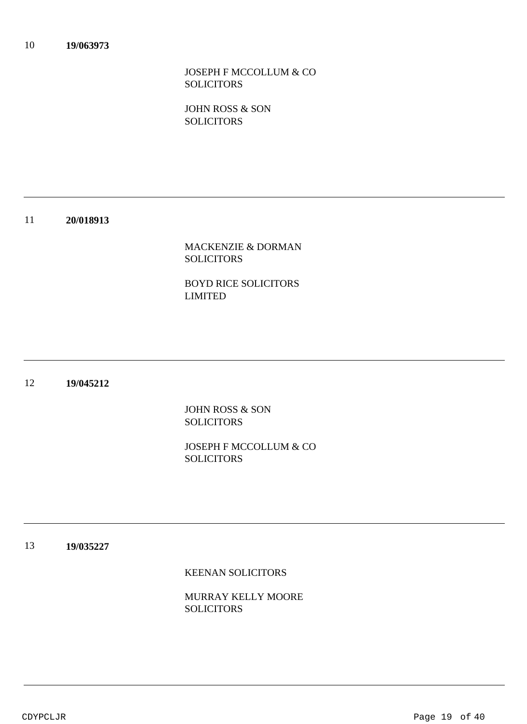JOSEPH F MCCOLLUM & CO SOLICITORS

JOHN ROSS & SON **SOLICITORS** 

### 11 **20/018913**

MACKENZIE & DORMAN **SOLICITORS** 

BOYD RICE SOLICITORS LIMITED

### 12 **19/045212**

JOHN ROSS & SON **SOLICITORS** 

JOSEPH F MCCOLLUM & CO **SOLICITORS** 

### 13 **19/035227**

KEENAN SOLICITORS

MURRAY KELLY MOORE **SOLICITORS**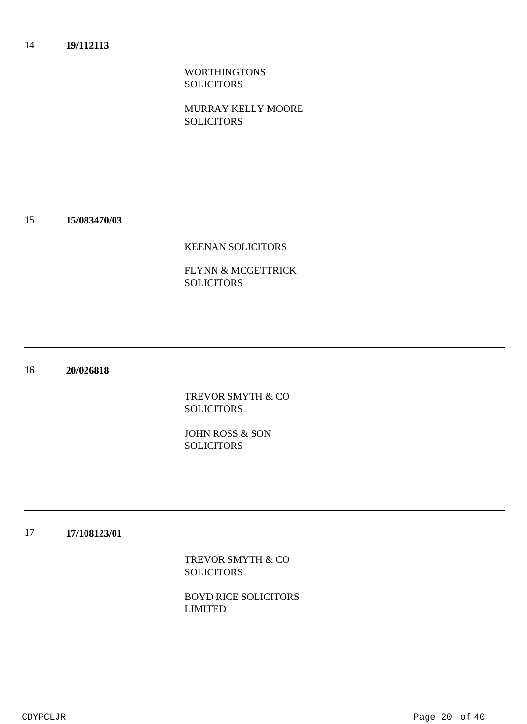WORTHINGTONS **SOLICITORS** 

MURRAY KELLY MOORE **SOLICITORS** 

### 15 **15/083470/03**

## KEENAN SOLICITORS

FLYNN & MCGETTRICK SOLICITORS

### 16 **20/026818**

TREVOR SMYTH & CO **SOLICITORS** 

JOHN ROSS & SON **SOLICITORS** 

### 17 **17/108123/01**

TREVOR SMYTH & CO SOLICITORS

BOYD RICE SOLICITORS LIMITED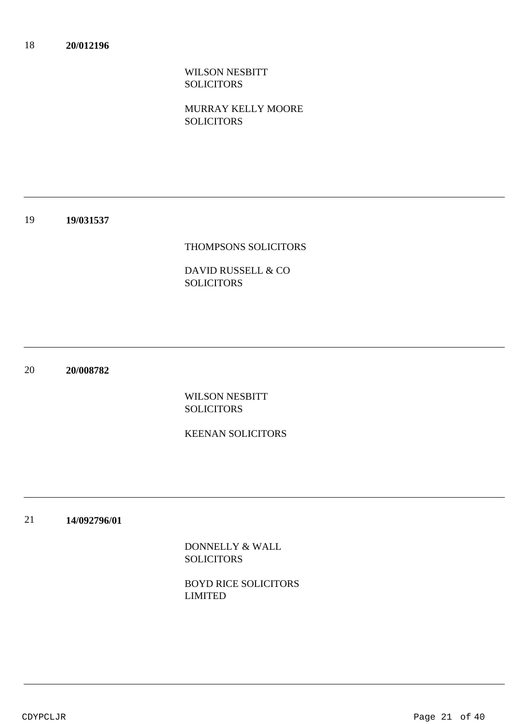WILSON NESBITT **SOLICITORS** 

MURRAY KELLY MOORE **SOLICITORS** 

### 19 **19/031537**

## THOMPSONS SOLICITORS

DAVID RUSSELL & CO SOLICITORS

20 **20/008782**

> WILSON NESBITT **SOLICITORS**

# KEENAN SOLICITORS

21 **14/092796/01**

> DONNELLY & WALL **SOLICITORS**

BOYD RICE SOLICITORS LIMITED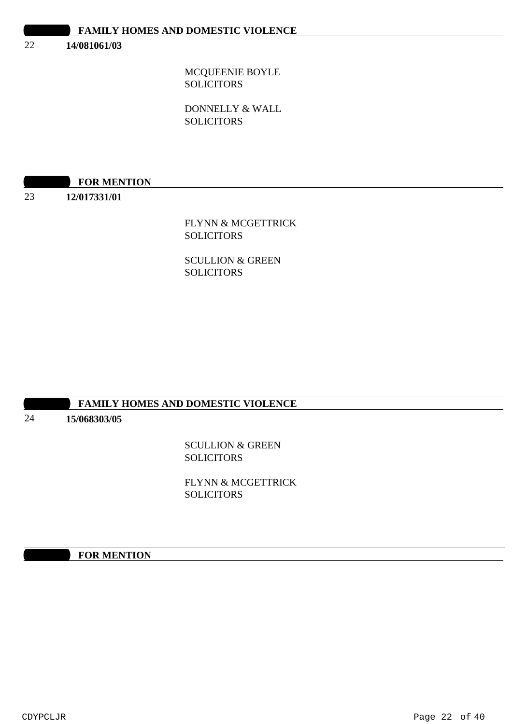| <b>FAMILY HOMES AND DOMESTIC VIOLENCE</b> |  |
|-------------------------------------------|--|
|-------------------------------------------|--|

#### 22 **14/081061/03**

MCQUEENIE BOYLE **SOLICITORS** 

DONNELLY & WALL **SOLICITORS** 

# **FOR MENTION**

23 **12/017331/01**

## FLYNN & MCGETTRICK SOLICITORS

SCULLION & GREEN SOLICITORS

## **FAMILY HOMES AND DOMESTIC VIOLENCE**

24

# **15/068303/05**

SCULLION & GREEN **SOLICITORS** 

FLYNN & MCGETTRICK **SOLICITORS** 

## **1000 FOR MENTION**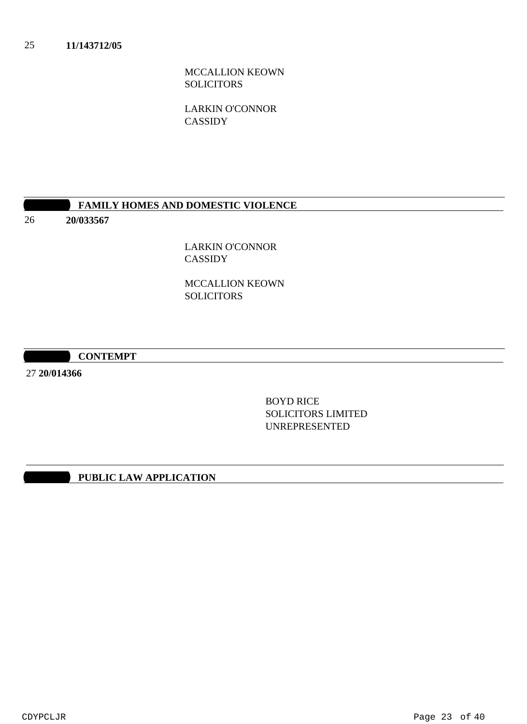MCCALLION KEOWN SOLICITORS

LARKIN O'CONNOR CASSIDY

## **10:30 FAMILY HOMES AND DOMESTIC VIOLENCE**

26 **20/033567**

> LARKIN O'CONNOR CASSIDY

MCCALLION KEOWN SOLICITORS

**10:30 AM CONTEMPT**

27 **20/014366**

BOYD RICE SOLICITORS LIMITED UNREPRESENTED

# **10:30 PUBLIC LAW APPLICATION**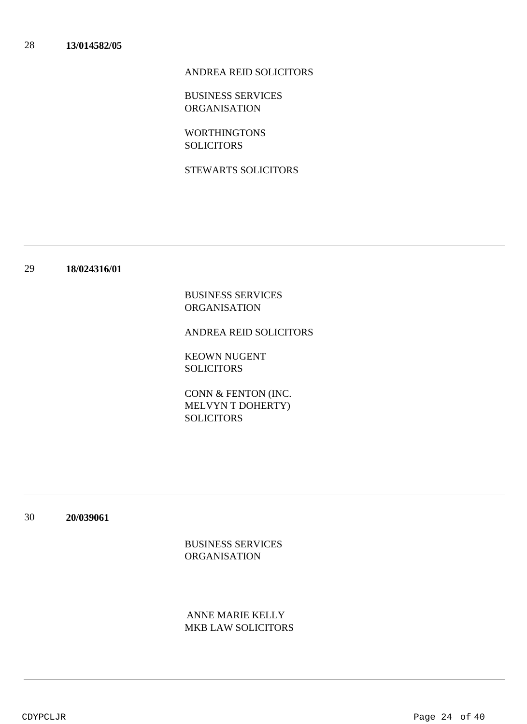## ANDREA REID SOLICITORS

BUSINESS SERVICES ORGANISATION

WORTHINGTONS SOLICITORS

STEWARTS SOLICITORS

### 29 **18/024316/01**

BUSINESS SERVICES ORGANISATION

ANDREA REID SOLICITORS

KEOWN NUGENT SOLICITORS

CONN & FENTON (INC. MELVYN T DOHERTY) SOLICITORS

30 **20/039061**

> BUSINESS SERVICES ORGANISATION

MKB LAW SOLICITORS ANNE MARIE KELLY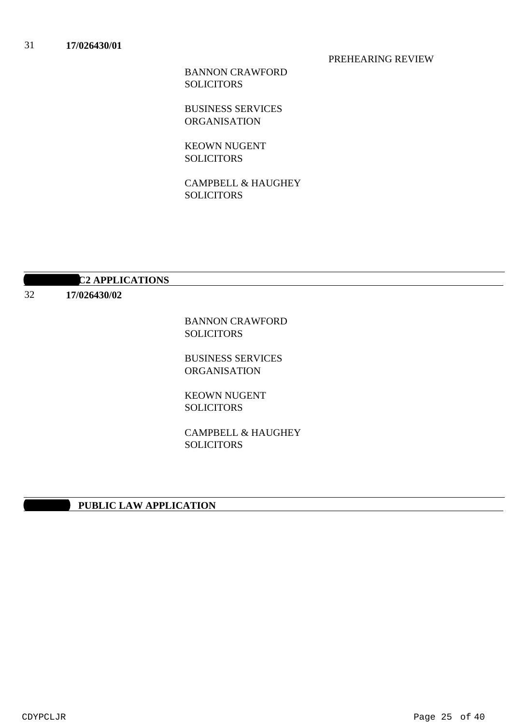### PREHEARING REVIEW

BANNON CRAWFORD SOLICITORS

BUSINESS SERVICES **ORGANISATION** 

KEOWN NUGENT **SOLICITORS** 

CAMPBELL & HAUGHEY **SOLICITORS** 

# **12 APPLICATIONS**

32

# **17/026430/02**

BANNON CRAWFORD SOLICITORS

BUSINESS SERVICES ORGANISATION

KEOWN NUGENT SOLICITORS

CAMPBELL & HAUGHEY SOLICITORS

## **PUBLIC LAW APPLICATION**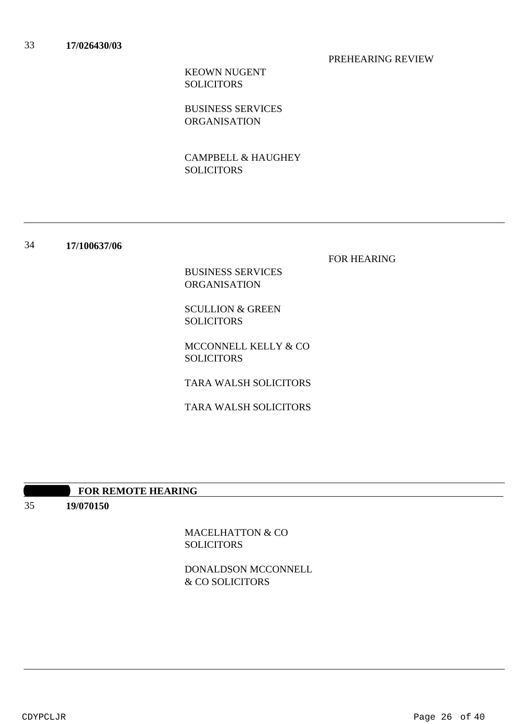### PREHEARING REVIEW

KEOWN NUGENT SOLICITORS

BUSINESS SERVICES ORGANISATION

CAMPBELL & HAUGHEY SOLICITORS

34 **17/100637/06**

FOR HEARING

BUSINESS SERVICES ORGANISATION

SCULLION & GREEN SOLICITORS

MCCONNELL KELLY & CO SOLICITORS

TARA WALSH SOLICITORS

TARA WALSH SOLICITORS

## **10:30 AM FOR REMOTE HEARING**

35 **19/070150**

> MACELHATTON & CO **SOLICITORS**

DONALDSON MCCONNELL & CO SOLICITORS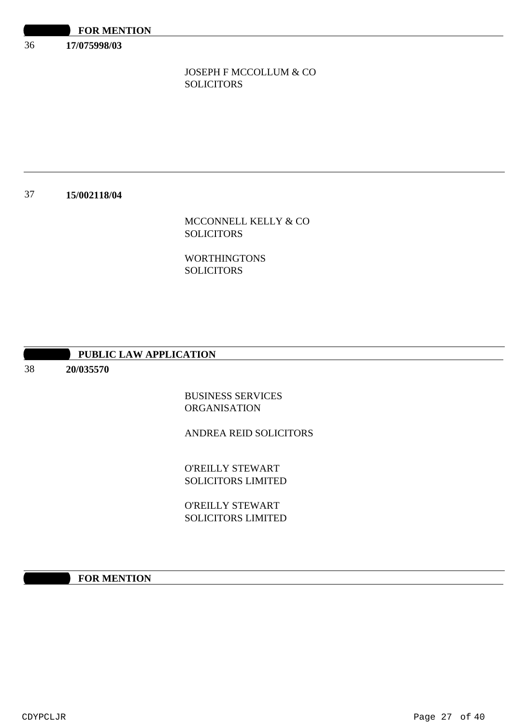36 **17/075998/03**

# JOSEPH F MCCOLLUM & CO SOLICITORS

### 37 **15/002118/04**

# MCCONNELL KELLY & CO SOLICITORS

# WORTHINGTONS SOLICITORS

# **PUBLIC LAW APPLICATION**

38

# **20/035570**

BUSINESS SERVICES **ORGANISATION** 

ANDREA REID SOLICITORS

O'REILLY STEWART SOLICITORS LIMITED

O'REILLY STEWART SOLICITORS LIMITED

# **10:30 FOR MENTION**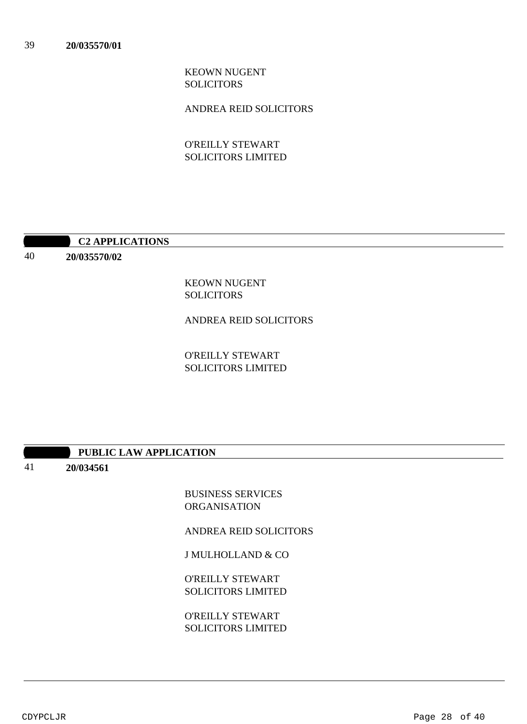KEOWN NUGENT SOLICITORS

ANDREA REID SOLICITORS

O'REILLY STEWART SOLICITORS LIMITED

**10:20:30 APPLICATIONS** 

40 **20/035570/02**

> KEOWN NUGENT SOLICITORS

ANDREA REID SOLICITORS

O'REILLY STEWART SOLICITORS LIMITED

# **PUBLIC LAW APPLICATION**

41 **20/034561**

> BUSINESS SERVICES **ORGANISATION**

ANDREA REID SOLICITORS

J MULHOLLAND & CO

O'REILLY STEWART SOLICITORS LIMITED

O'REILLY STEWART SOLICITORS LIMITED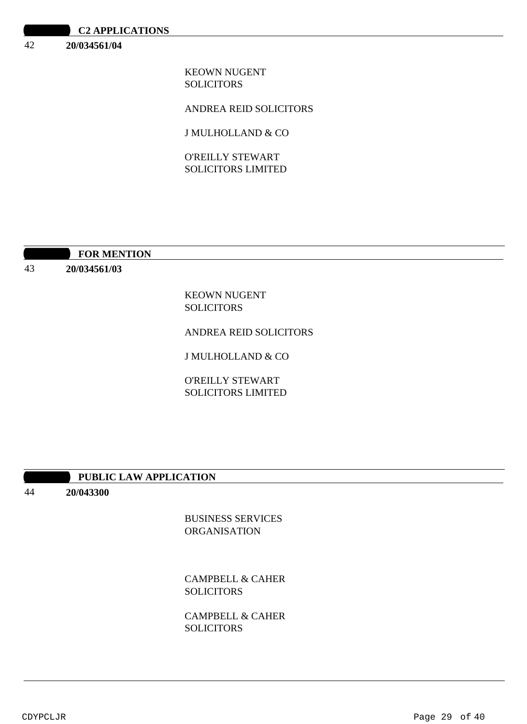| <b>C2 APPLICATIONS</b> |  |
|------------------------|--|
|------------------------|--|

### 42 **20/034561/04**

KEOWN NUGENT SOLICITORS

ANDREA REID SOLICITORS

J MULHOLLAND & CO

O'REILLY STEWART SOLICITORS LIMITED

## **10:30 FOR MENTION**

43 **20/034561/03**

> KEOWN NUGENT SOLICITORS

ANDREA REID SOLICITORS

J MULHOLLAND & CO

O'REILLY STEWART SOLICITORS LIMITED

## **10:30 PUBLIC LAW APPLICATION**

44 **20/043300**

> BUSINESS SERVICES ORGANISATION

CAMPBELL & CAHER SOLICITORS

CAMPBELL & CAHER **SOLICITORS**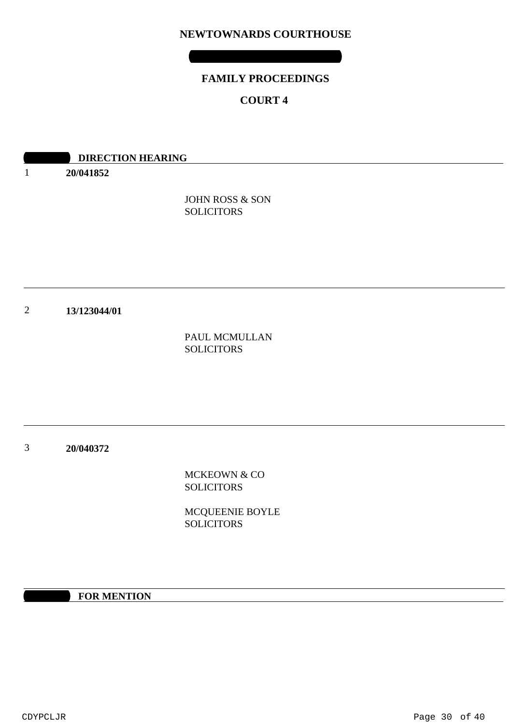# **NEWTOWNARDS COURTHOUSE**

**THURSDAY 06 AUGUST 2020**

# **FAMILY PROCEEDINGS**

# **COURT 4**

|                | <b>DIRECTION HEARING</b> |                   |  |
|----------------|--------------------------|-------------------|--|
| 1              | 20/041852                |                   |  |
|                |                          | JOHN ROSS & SON   |  |
|                |                          | <b>SOLICITORS</b> |  |
|                |                          |                   |  |
|                |                          |                   |  |
|                |                          |                   |  |
| $\overline{2}$ | 13/123044/01             |                   |  |
|                |                          | PAUL MCMULLAN     |  |
|                |                          | <b>SOLICITORS</b> |  |
|                |                          |                   |  |
|                |                          |                   |  |
|                |                          |                   |  |

3 **20/040372**

> MCKEOWN & CO **SOLICITORS**

MCQUEENIE BOYLE **SOLICITORS** 

**10:30 FOR MENTION**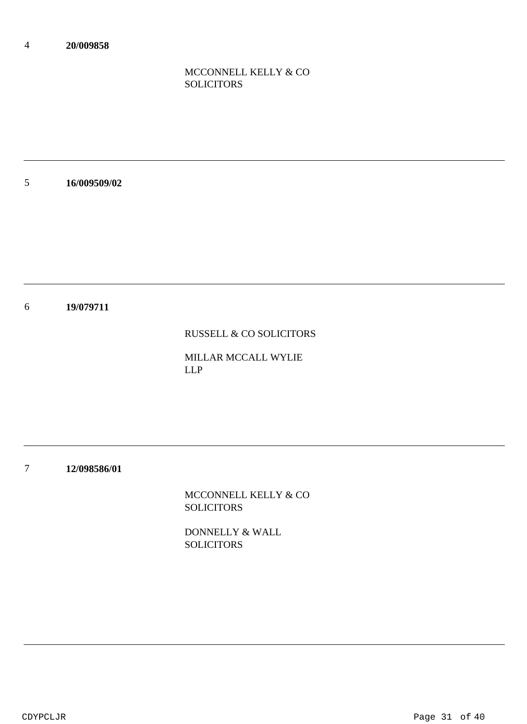# MCCONNELL KELLY & CO **SOLICITORS**

5 **16/009509/02**

6 **19/079711**

RUSSELL & CO SOLICITORS

MILLAR MCCALL WYLIE LLP

7 **12/098586/01**

> MCCONNELL KELLY & CO **SOLICITORS**

DONNELLY & WALL **SOLICITORS**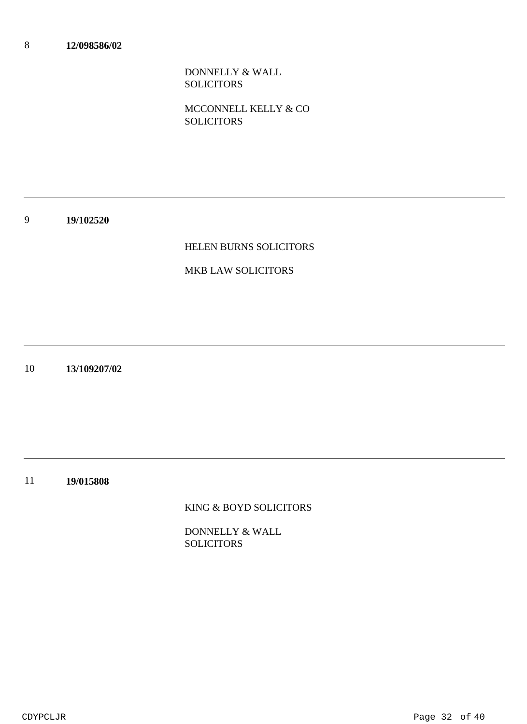DONNELLY & WALL SOLICITORS

MCCONNELL KELLY & CO **SOLICITORS** 

9 **19/102520**

## HELEN BURNS SOLICITORS

## MKB LAW SOLICITORS

10 **13/109207/02**

11 **19/015808**

KING & BOYD SOLICITORS

DONNELLY & WALL **SOLICITORS**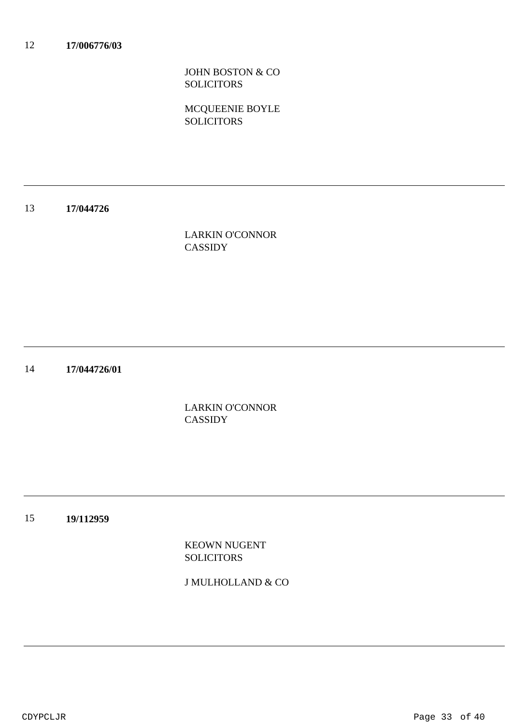JOHN BOSTON & CO **SOLICITORS** 

MCQUEENIE BOYLE **SOLICITORS** 

### 13 **17/044726**

LARKIN O'CONNOR CASSIDY

14 **17/044726/01**

> LARKIN O'CONNOR **CASSIDY**

15 **19/112959**

> KEOWN NUGENT SOLICITORS

J MULHOLLAND & CO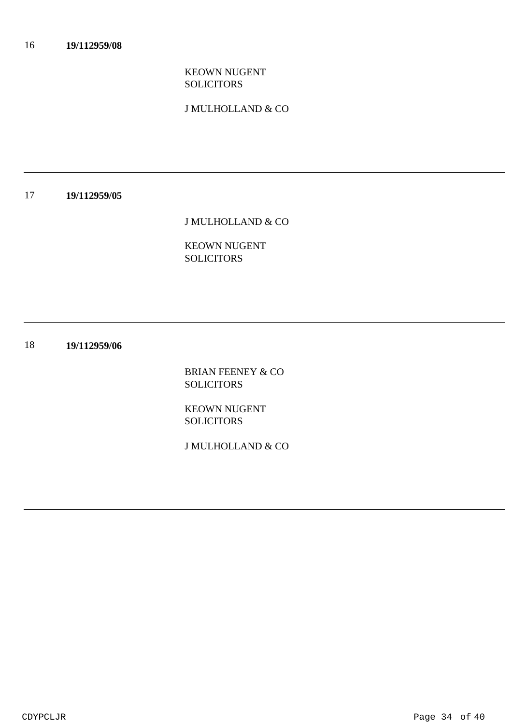# KEOWN NUGENT SOLICITORS

J MULHOLLAND & CO

### 17 **19/112959/05**

J MULHOLLAND & CO

KEOWN NUGENT SOLICITORS

18 **19/112959/06**

> BRIAN FEENEY & CO **SOLICITORS**

KEOWN NUGENT **SOLICITORS** 

J MULHOLLAND & CO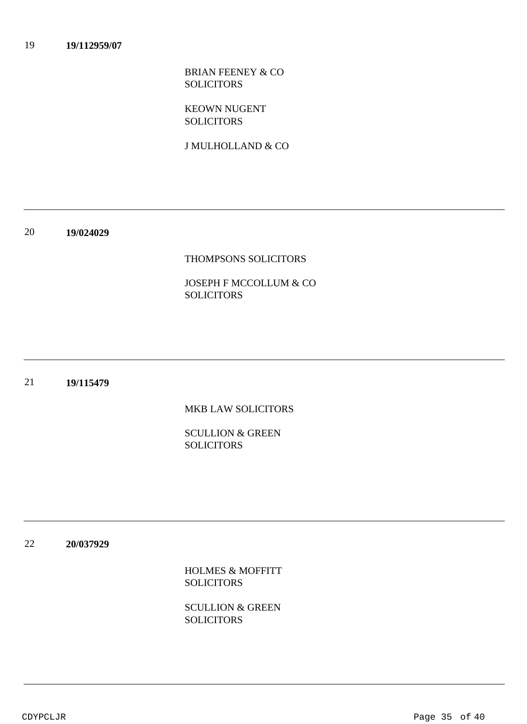BRIAN FEENEY & CO SOLICITORS

KEOWN NUGENT **SOLICITORS** 

J MULHOLLAND & CO

20 **19/024029**

## THOMPSONS SOLICITORS

JOSEPH F MCCOLLUM & CO SOLICITORS

### 21 **19/115479**

MKB LAW SOLICITORS

SCULLION & GREEN **SOLICITORS** 

22 **20/037929**

> HOLMES & MOFFITT **SOLICITORS**

SCULLION & GREEN **SOLICITORS**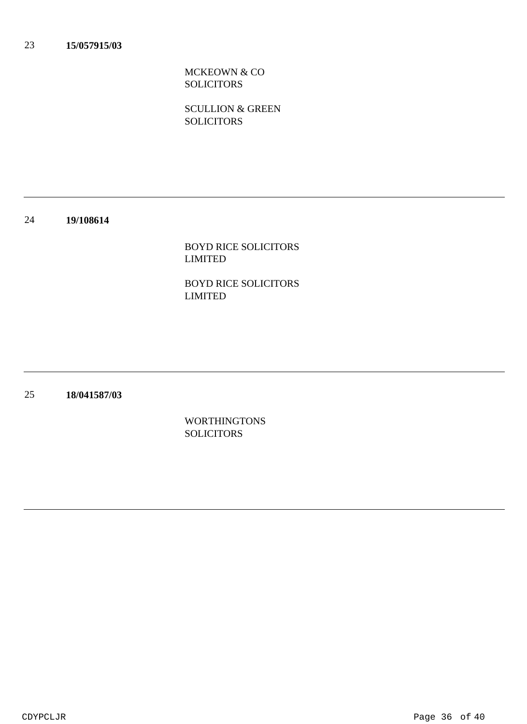MCKEOWN & CO **SOLICITORS** 

SCULLION & GREEN **SOLICITORS** 

### 24 **19/108614**

BOYD RICE SOLICITORS LIMITED

BOYD RICE SOLICITORS LIMITED

25 **18/041587/03**

> WORTHINGTONS **SOLICITORS**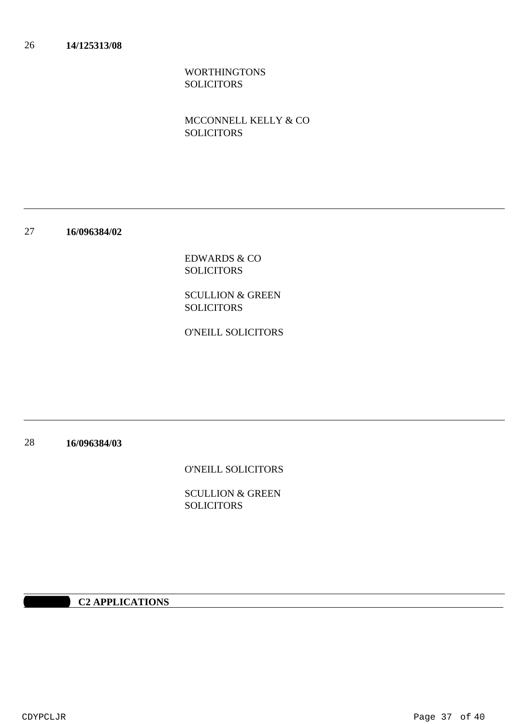# WORTHINGTONS SOLICITORS

# MCCONNELL KELLY & CO SOLICITORS

27 **16/096384/02**

> EDWARDS & CO SOLICITORS

SCULLION & GREEN **SOLICITORS** 

O'NEILL SOLICITORS

28 **16/096384/03**

O'NEILL SOLICITORS

SCULLION & GREEN **SOLICITORS** 

# **10:20:30 APPLICATIONS**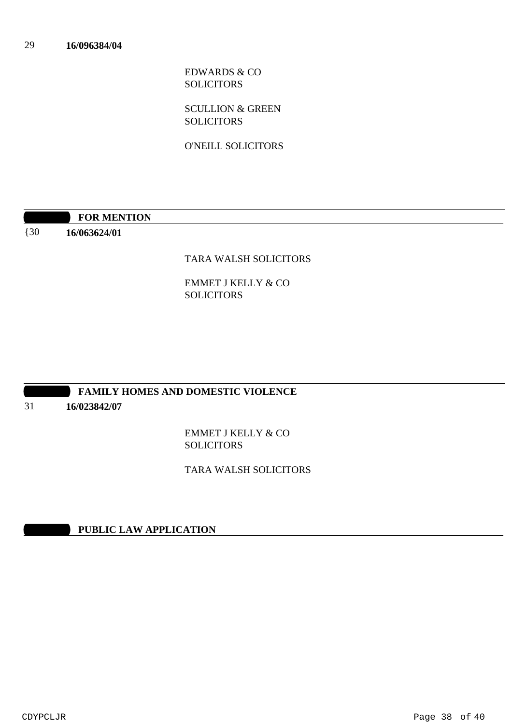EDWARDS & CO SOLICITORS

SCULLION & GREEN **SOLICITORS** 

O'NEILL SOLICITORS

|                   | <b>FOR MENTION</b> |
|-------------------|--------------------|
| $\left(30\right)$ | 16/063624/01       |

# TARA WALSH SOLICITORS

EMMET J KELLY & CO SOLICITORS

## **FAMILY HOMES AND DOMESTIC VIOLENCE**

31 **16/023842/07**

> EMMET J KELLY & CO **SOLICITORS**

TARA WALSH SOLICITORS

**10:30 PUBLIC LAW APPLICATION**